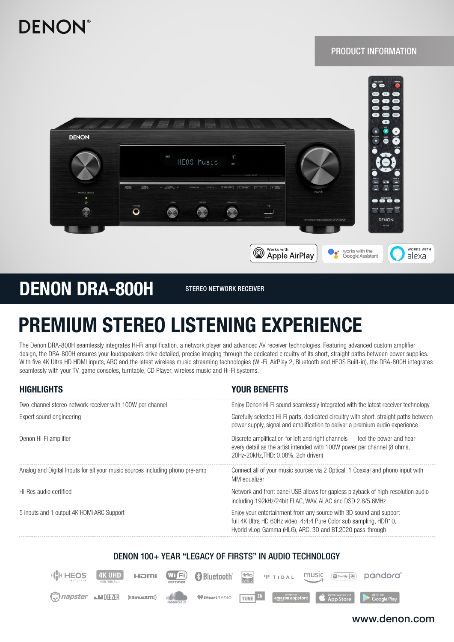

## PRODUCT INFORMATION



## DENON DRA-800H STEREO NETWORK RECEIVER

# PREMIUM STEREO LISTENING EXPERIENCE

The Denon DRA-800H seamlessly integrates Hi-Fi amplification, a network player and advanced AV receiver technologies. Featuring advanced custom amplifier design, the DRA-800H ensures your loudspeakers drive detailed, precise imaging through the dedicated circuitry of its short, straight paths between power supplies. With five 4K Ultra HD HDMI inputs, ARC and the latest wireless music streaming technologies (Wi-Fi, AirPlay 2, Bluetooth and HEOS Built-in), the DRA-800H integrates seamlessly with your TV, game consoles, turntable, CD Player, wireless music and Hi-Fi systems.

| <b>HIGHLIGHTS</b>                                                            | <b>YOUR BENEFITS</b>                                                                                                                                                                                   |
|------------------------------------------------------------------------------|--------------------------------------------------------------------------------------------------------------------------------------------------------------------------------------------------------|
| Two-channel stereo network receiver with 100W per channel                    | Enjoy Denon Hi-Fi sound seamlessly integrated with the latest receiver technology                                                                                                                      |
| Expert sound engineering                                                     | Carefully selected Hi-Fi parts, dedicated circuitry with short, straight paths between<br>power supply, signal and amplification to deliver a premium audio experience                                 |
| Denon Hi-Fi amplifier                                                        | Discrete amplification for left and right channels — feel the power and hear<br>every detail as the artist intended with 100W power per channel (8 ohms,<br>20Hz-20kHz, THD: 0.08%, 2ch driven)        |
| Analog and Digital Inputs for all your music sources including phono pre-amp | Connect all of your music sources via 2 Optical, 1 Coaxial and phono input with<br>MM equalizer                                                                                                        |
| Hi-Res audio certified                                                       | Network and front panel USB allows for gapless playback of high-resolution audio<br>including 192kHz/24bit FLAC, WAV, ALAC and DSD 2.8/5.6MHz                                                          |
| 5 inputs and 1 output 4K HDMI ARC Support                                    | Enjoy your entertainment from any source with 3D sound and support<br>full 4K Ultra HD 60Hz video, 4:4:4 Pure Color sub sampling, HDR10,<br>Hybrid vLog-Gamma (HLG), ARC, 3D and BT.2020 pass-through. |

## DENON 100+ YEAR "LEGACY OF FIRSTS" IN AUDIO TECHNOLOGY



### www.denon.com